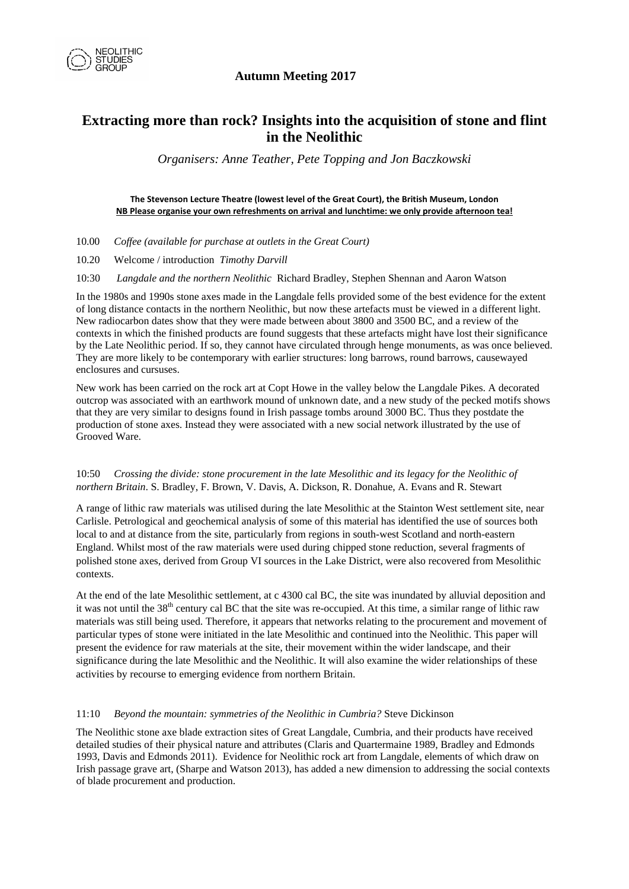

# **Extracting more than rock? Insights into the acquisition of stone and flint in the Neolithic**

*Organisers: Anne Teather, Pete Topping and Jon Baczkowski* 

#### **The Stevenson Lecture Theatre (lowest level of the Great Court), the British Museum, London NB Please organise your own refreshments on arrival and lunchtime: we only provide afternoon tea!**

- 10.00 *Coffee (available for purchase at outlets in the Great Court)*
- 10.20 Welcome / introduction *Timothy Darvill*
- 10:30 *Langdale and the northern Neolithic* Richard Bradley, Stephen Shennan and Aaron Watson

In the 1980s and 1990s stone axes made in the Langdale fells provided some of the best evidence for the extent of long distance contacts in the northern Neolithic, but now these artefacts must be viewed in a different light. New radiocarbon dates show that they were made between about 3800 and 3500 BC, and a review of the contexts in which the finished products are found suggests that these artefacts might have lost their significance by the Late Neolithic period. If so, they cannot have circulated through henge monuments, as was once believed. They are more likely to be contemporary with earlier structures: long barrows, round barrows, causewayed enclosures and cursuses.

New work has been carried on the rock art at Copt Howe in the valley below the Langdale Pikes. A decorated outcrop was associated with an earthwork mound of unknown date, and a new study of the pecked motifs shows that they are very similar to designs found in Irish passage tombs around 3000 BC. Thus they postdate the production of stone axes. Instead they were associated with a new social network illustrated by the use of Grooved Ware.

### 10:50 *Crossing the divide: stone procurement in the late Mesolithic and its legacy for the Neolithic of northern Britain*. S. Bradley, F. Brown, V. Davis, A. Dickson, R. Donahue, A. Evans and R. Stewart

A range of lithic raw materials was utilised during the late Mesolithic at the Stainton West settlement site, near Carlisle. Petrological and geochemical analysis of some of this material has identified the use of sources both local to and at distance from the site, particularly from regions in south-west Scotland and north-eastern England. Whilst most of the raw materials were used during chipped stone reduction, several fragments of polished stone axes, derived from Group VI sources in the Lake District, were also recovered from Mesolithic contexts.

At the end of the late Mesolithic settlement, at c 4300 cal BC, the site was inundated by alluvial deposition and it was not until the  $38<sup>th</sup>$  century cal BC that the site was re-occupied. At this time, a similar range of lithic raw materials was still being used. Therefore, it appears that networks relating to the procurement and movement of particular types of stone were initiated in the late Mesolithic and continued into the Neolithic. This paper will present the evidence for raw materials at the site, their movement within the wider landscape, and their significance during the late Mesolithic and the Neolithic. It will also examine the wider relationships of these activities by recourse to emerging evidence from northern Britain.

### 11:10 *Beyond the mountain: symmetries of the Neolithic in Cumbria?* Steve Dickinson

The Neolithic stone axe blade extraction sites of Great Langdale, Cumbria, and their products have received detailed studies of their physical nature and attributes (Claris and Quartermaine 1989, Bradley and Edmonds 1993, Davis and Edmonds 2011). Evidence for Neolithic rock art from Langdale, elements of which draw on Irish passage grave art, (Sharpe and Watson 2013), has added a new dimension to addressing the social contexts of blade procurement and production.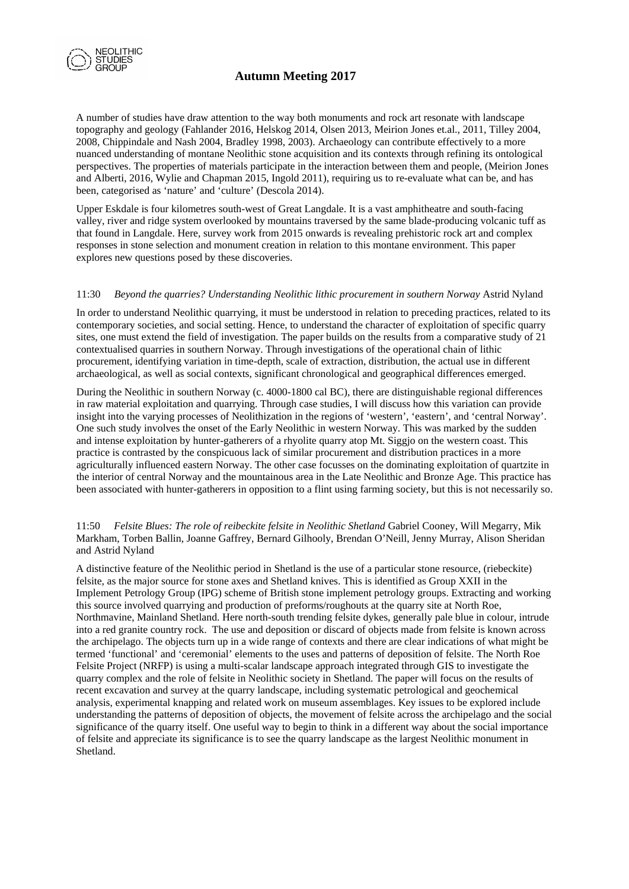

A number of studies have draw attention to the way both monuments and rock art resonate with landscape topography and geology (Fahlander 2016, Helskog 2014, Olsen 2013, Meirion Jones et.al., 2011, Tilley 2004, 2008, Chippindale and Nash 2004, Bradley 1998, 2003). Archaeology can contribute effectively to a more nuanced understanding of montane Neolithic stone acquisition and its contexts through refining its ontological perspectives. The properties of materials participate in the interaction between them and people, (Meirion Jones and Alberti, 2016, Wylie and Chapman 2015, Ingold 2011), requiring us to re-evaluate what can be, and has been, categorised as 'nature' and 'culture' (Descola 2014).

Upper Eskdale is four kilometres south-west of Great Langdale. It is a vast amphitheatre and south-facing valley, river and ridge system overlooked by mountains traversed by the same blade-producing volcanic tuff as that found in Langdale. Here, survey work from 2015 onwards is revealing prehistoric rock art and complex responses in stone selection and monument creation in relation to this montane environment. This paper explores new questions posed by these discoveries.

#### 11:30 *Beyond the quarries? Understanding Neolithic lithic procurement in southern Norway* Astrid Nyland

In order to understand Neolithic quarrying, it must be understood in relation to preceding practices, related to its contemporary societies, and social setting. Hence, to understand the character of exploitation of specific quarry sites, one must extend the field of investigation. The paper builds on the results from a comparative study of 21 contextualised quarries in southern Norway. Through investigations of the operational chain of lithic procurement, identifying variation in time-depth, scale of extraction, distribution, the actual use in different archaeological, as well as social contexts, significant chronological and geographical differences emerged.

During the Neolithic in southern Norway (c. 4000-1800 cal BC), there are distinguishable regional differences in raw material exploitation and quarrying. Through case studies, I will discuss how this variation can provide insight into the varying processes of Neolithization in the regions of 'western', 'eastern', and 'central Norway'. One such study involves the onset of the Early Neolithic in western Norway. This was marked by the sudden and intense exploitation by hunter-gatherers of a rhyolite quarry atop Mt. Siggjo on the western coast. This practice is contrasted by the conspicuous lack of similar procurement and distribution practices in a more agriculturally influenced eastern Norway. The other case focusses on the dominating exploitation of quartzite in the interior of central Norway and the mountainous area in the Late Neolithic and Bronze Age. This practice has been associated with hunter-gatherers in opposition to a flint using farming society, but this is not necessarily so.

11:50 *Felsite Blues: The role of reibeckite felsite in Neolithic Shetland* Gabriel Cooney, Will Megarry, Mik Markham, Torben Ballin, Joanne Gaffrey, Bernard Gilhooly, Brendan O'Neill, Jenny Murray, Alison Sheridan and Astrid Nyland

A distinctive feature of the Neolithic period in Shetland is the use of a particular stone resource, (riebeckite) felsite, as the major source for stone axes and Shetland knives. This is identified as Group XXII in the Implement Petrology Group (IPG) scheme of British stone implement petrology groups. Extracting and working this source involved quarrying and production of preforms/roughouts at the quarry site at North Roe, Northmavine, Mainland Shetland. Here north-south trending felsite dykes, generally pale blue in colour, intrude into a red granite country rock. The use and deposition or discard of objects made from felsite is known across the archipelago. The objects turn up in a wide range of contexts and there are clear indications of what might be termed 'functional' and 'ceremonial' elements to the uses and patterns of deposition of felsite. The North Roe Felsite Project (NRFP) is using a multi-scalar landscape approach integrated through GIS to investigate the quarry complex and the role of felsite in Neolithic society in Shetland. The paper will focus on the results of recent excavation and survey at the quarry landscape, including systematic petrological and geochemical analysis, experimental knapping and related work on museum assemblages. Key issues to be explored include understanding the patterns of deposition of objects, the movement of felsite across the archipelago and the social significance of the quarry itself. One useful way to begin to think in a different way about the social importance of felsite and appreciate its significance is to see the quarry landscape as the largest Neolithic monument in Shetland.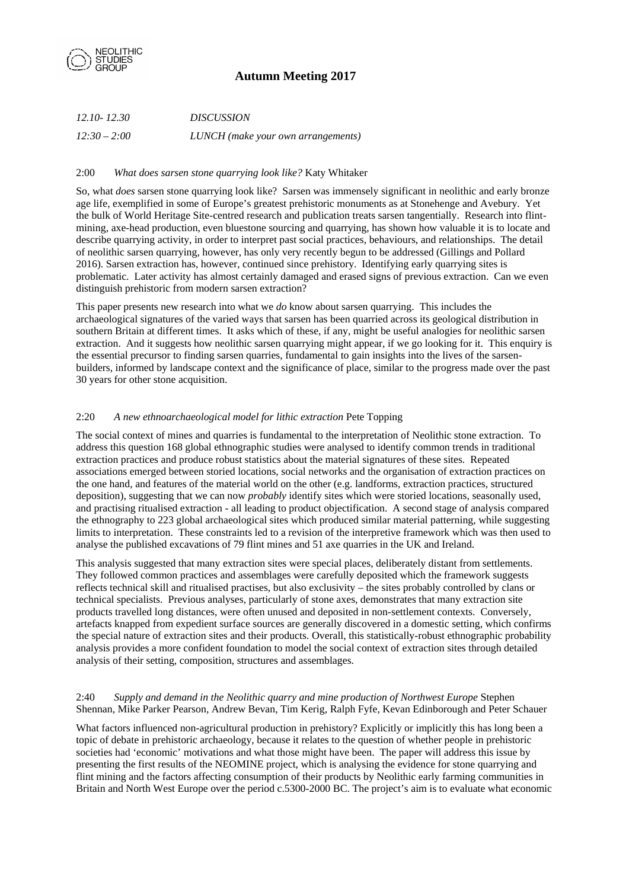

| 12.10-12.30    | <i>DISCUSSION</i>                  |
|----------------|------------------------------------|
| $12:30 - 2:00$ | LUNCH (make your own arrangements) |

### 2:00 *What does sarsen stone quarrying look like?* Katy Whitaker

So, what *does* sarsen stone quarrying look like? Sarsen was immensely significant in neolithic and early bronze age life, exemplified in some of Europe's greatest prehistoric monuments as at Stonehenge and Avebury. Yet the bulk of World Heritage Site-centred research and publication treats sarsen tangentially. Research into flintmining, axe-head production, even bluestone sourcing and quarrying, has shown how valuable it is to locate and describe quarrying activity, in order to interpret past social practices, behaviours, and relationships. The detail of neolithic sarsen quarrying, however, has only very recently begun to be addressed (Gillings and Pollard 2016). Sarsen extraction has, however, continued since prehistory. Identifying early quarrying sites is problematic. Later activity has almost certainly damaged and erased signs of previous extraction. Can we even distinguish prehistoric from modern sarsen extraction?

This paper presents new research into what we *do* know about sarsen quarrying. This includes the archaeological signatures of the varied ways that sarsen has been quarried across its geological distribution in southern Britain at different times. It asks which of these, if any, might be useful analogies for neolithic sarsen extraction. And it suggests how neolithic sarsen quarrying might appear, if we go looking for it. This enquiry is the essential precursor to finding sarsen quarries, fundamental to gain insights into the lives of the sarsenbuilders, informed by landscape context and the significance of place, similar to the progress made over the past 30 years for other stone acquisition.

### 2:20 *A new ethnoarchaeological model for lithic extraction* Pete Topping

The social context of mines and quarries is fundamental to the interpretation of Neolithic stone extraction. To address this question 168 global ethnographic studies were analysed to identify common trends in traditional extraction practices and produce robust statistics about the material signatures of these sites. Repeated associations emerged between storied locations, social networks and the organisation of extraction practices on the one hand, and features of the material world on the other (e.g. landforms, extraction practices, structured deposition), suggesting that we can now *probably* identify sites which were storied locations, seasonally used, and practising ritualised extraction - all leading to product objectification. A second stage of analysis compared the ethnography to 223 global archaeological sites which produced similar material patterning, while suggesting limits to interpretation. These constraints led to a revision of the interpretive framework which was then used to analyse the published excavations of 79 flint mines and 51 axe quarries in the UK and Ireland.

This analysis suggested that many extraction sites were special places, deliberately distant from settlements. They followed common practices and assemblages were carefully deposited which the framework suggests reflects technical skill and ritualised practises, but also exclusivity – the sites probably controlled by clans or technical specialists. Previous analyses, particularly of stone axes, demonstrates that many extraction site products travelled long distances, were often unused and deposited in non-settlement contexts. Conversely, artefacts knapped from expedient surface sources are generally discovered in a domestic setting, which confirms the special nature of extraction sites and their products. Overall, this statistically-robust ethnographic probability analysis provides a more confident foundation to model the social context of extraction sites through detailed analysis of their setting, composition, structures and assemblages.

### 2:40 *Supply and demand in the Neolithic quarry and mine production of Northwest Europe* Stephen Shennan, Mike Parker Pearson, Andrew Bevan, Tim Kerig, Ralph Fyfe, Kevan Edinborough and Peter Schauer

What factors influenced non-agricultural production in prehistory? Explicitly or implicitly this has long been a topic of debate in prehistoric archaeology, because it relates to the question of whether people in prehistoric societies had 'economic' motivations and what those might have been. The paper will address this issue by presenting the first results of the NEOMINE project, which is analysing the evidence for stone quarrying and flint mining and the factors affecting consumption of their products by Neolithic early farming communities in Britain and North West Europe over the period c.5300-2000 BC. The project's aim is to evaluate what economic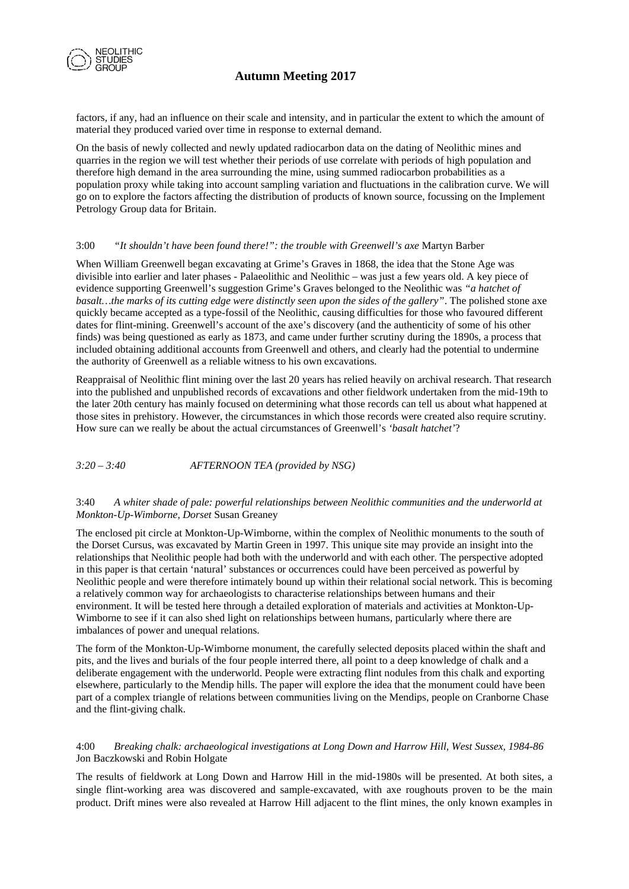

factors, if any, had an influence on their scale and intensity, and in particular the extent to which the amount of material they produced varied over time in response to external demand.

On the basis of newly collected and newly updated radiocarbon data on the dating of Neolithic mines and quarries in the region we will test whether their periods of use correlate with periods of high population and therefore high demand in the area surrounding the mine, using summed radiocarbon probabilities as a population proxy while taking into account sampling variation and fluctuations in the calibration curve. We will go on to explore the factors affecting the distribution of products of known source, focussing on the Implement Petrology Group data for Britain.

#### 3:00 *"It shouldn't have been found there!": the trouble with Greenwell's axe* Martyn Barber

When William Greenwell began excavating at Grime's Graves in 1868, the idea that the Stone Age was divisible into earlier and later phases - Palaeolithic and Neolithic – was just a few years old. A key piece of evidence supporting Greenwell's suggestion Grime's Graves belonged to the Neolithic was *"a hatchet of basalt…the marks of its cutting edge were distinctly seen upon the sides of the gallery"*. The polished stone axe quickly became accepted as a type-fossil of the Neolithic, causing difficulties for those who favoured different dates for flint-mining. Greenwell's account of the axe's discovery (and the authenticity of some of his other finds) was being questioned as early as 1873, and came under further scrutiny during the 1890s, a process that included obtaining additional accounts from Greenwell and others, and clearly had the potential to undermine the authority of Greenwell as a reliable witness to his own excavations.

Reappraisal of Neolithic flint mining over the last 20 years has relied heavily on archival research. That research into the published and unpublished records of excavations and other fieldwork undertaken from the mid-19th to the later 20th century has mainly focused on determining what those records can tell us about what happened at those sites in prehistory. However, the circumstances in which those records were created also require scrutiny. How sure can we really be about the actual circumstances of Greenwell's *'basalt hatchet'*?

*3:20 – 3:40 AFTERNOON TEA (provided by NSG)*

#### 3:40 *A whiter shade of pale: powerful relationships between Neolithic communities and the underworld at Monkton-Up-Wimborne, Dorset* Susan Greaney

The enclosed pit circle at Monkton-Up-Wimborne, within the complex of Neolithic monuments to the south of the Dorset Cursus, was excavated by Martin Green in 1997. This unique site may provide an insight into the relationships that Neolithic people had both with the underworld and with each other. The perspective adopted in this paper is that certain 'natural' substances or occurrences could have been perceived as powerful by Neolithic people and were therefore intimately bound up within their relational social network. This is becoming a relatively common way for archaeologists to characterise relationships between humans and their environment. It will be tested here through a detailed exploration of materials and activities at Monkton-Up-Wimborne to see if it can also shed light on relationships between humans, particularly where there are imbalances of power and unequal relations.

The form of the Monkton-Up-Wimborne monument, the carefully selected deposits placed within the shaft and pits, and the lives and burials of the four people interred there, all point to a deep knowledge of chalk and a deliberate engagement with the underworld. People were extracting flint nodules from this chalk and exporting elsewhere, particularly to the Mendip hills. The paper will explore the idea that the monument could have been part of a complex triangle of relations between communities living on the Mendips, people on Cranborne Chase and the flint-giving chalk.

## 4:00 *Breaking chalk: archaeological investigations at Long Down and Harrow Hill, West Sussex, 1984-86* Jon Baczkowski and Robin Holgate

The results of fieldwork at Long Down and Harrow Hill in the mid-1980s will be presented. At both sites, a single flint-working area was discovered and sample-excavated, with axe roughouts proven to be the main product. Drift mines were also revealed at Harrow Hill adjacent to the flint mines, the only known examples in